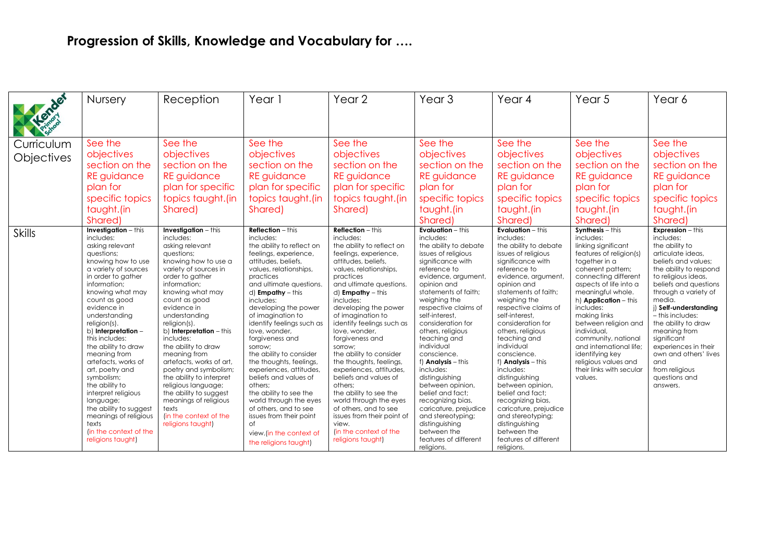## **Progression of Skills, Knowledge and Vocabulary for ….**

|               | <b>Nursery</b>                                                                                                                                                                                                                                                                                                                                                                                                                                                                                                                                                | Reception                                                                                                                                                                                                                                                                                                                                                                                                                                                                                                                                               | Year 1                                                                                                                                                                                                                                                                                                                                                                                                                                                                                                                                                                                                                                        | Year 2                                                                                                                                                                                                                                                                                                                                                                                                                                                                                                                                                                                                                                            | Year <sub>3</sub>                                                                                                                                                                                                                                                                                                                                                                                                                                                                                                                                                                        | Year 4                                                                                                                                                                                                                                                                                                                                                                                                                                                                                                                                                                            | Year <sub>5</sub>                                                                                                                                                                                                                                                                                                                                                                                                               | Year 6                                                                                                                                                                                                                                                                                                                                                                                                                                |
|---------------|---------------------------------------------------------------------------------------------------------------------------------------------------------------------------------------------------------------------------------------------------------------------------------------------------------------------------------------------------------------------------------------------------------------------------------------------------------------------------------------------------------------------------------------------------------------|---------------------------------------------------------------------------------------------------------------------------------------------------------------------------------------------------------------------------------------------------------------------------------------------------------------------------------------------------------------------------------------------------------------------------------------------------------------------------------------------------------------------------------------------------------|-----------------------------------------------------------------------------------------------------------------------------------------------------------------------------------------------------------------------------------------------------------------------------------------------------------------------------------------------------------------------------------------------------------------------------------------------------------------------------------------------------------------------------------------------------------------------------------------------------------------------------------------------|---------------------------------------------------------------------------------------------------------------------------------------------------------------------------------------------------------------------------------------------------------------------------------------------------------------------------------------------------------------------------------------------------------------------------------------------------------------------------------------------------------------------------------------------------------------------------------------------------------------------------------------------------|------------------------------------------------------------------------------------------------------------------------------------------------------------------------------------------------------------------------------------------------------------------------------------------------------------------------------------------------------------------------------------------------------------------------------------------------------------------------------------------------------------------------------------------------------------------------------------------|-----------------------------------------------------------------------------------------------------------------------------------------------------------------------------------------------------------------------------------------------------------------------------------------------------------------------------------------------------------------------------------------------------------------------------------------------------------------------------------------------------------------------------------------------------------------------------------|---------------------------------------------------------------------------------------------------------------------------------------------------------------------------------------------------------------------------------------------------------------------------------------------------------------------------------------------------------------------------------------------------------------------------------|---------------------------------------------------------------------------------------------------------------------------------------------------------------------------------------------------------------------------------------------------------------------------------------------------------------------------------------------------------------------------------------------------------------------------------------|
| Hender        |                                                                                                                                                                                                                                                                                                                                                                                                                                                                                                                                                               |                                                                                                                                                                                                                                                                                                                                                                                                                                                                                                                                                         |                                                                                                                                                                                                                                                                                                                                                                                                                                                                                                                                                                                                                                               |                                                                                                                                                                                                                                                                                                                                                                                                                                                                                                                                                                                                                                                   |                                                                                                                                                                                                                                                                                                                                                                                                                                                                                                                                                                                          |                                                                                                                                                                                                                                                                                                                                                                                                                                                                                                                                                                                   |                                                                                                                                                                                                                                                                                                                                                                                                                                 |                                                                                                                                                                                                                                                                                                                                                                                                                                       |
| Curriculum    | See the                                                                                                                                                                                                                                                                                                                                                                                                                                                                                                                                                       | See the                                                                                                                                                                                                                                                                                                                                                                                                                                                                                                                                                 | See the                                                                                                                                                                                                                                                                                                                                                                                                                                                                                                                                                                                                                                       | See the                                                                                                                                                                                                                                                                                                                                                                                                                                                                                                                                                                                                                                           | See the                                                                                                                                                                                                                                                                                                                                                                                                                                                                                                                                                                                  | See the                                                                                                                                                                                                                                                                                                                                                                                                                                                                                                                                                                           | See the                                                                                                                                                                                                                                                                                                                                                                                                                         | See the                                                                                                                                                                                                                                                                                                                                                                                                                               |
| Objectives    | objectives                                                                                                                                                                                                                                                                                                                                                                                                                                                                                                                                                    | objectives                                                                                                                                                                                                                                                                                                                                                                                                                                                                                                                                              | objectives                                                                                                                                                                                                                                                                                                                                                                                                                                                                                                                                                                                                                                    | objectives                                                                                                                                                                                                                                                                                                                                                                                                                                                                                                                                                                                                                                        | objectives                                                                                                                                                                                                                                                                                                                                                                                                                                                                                                                                                                               | objectives                                                                                                                                                                                                                                                                                                                                                                                                                                                                                                                                                                        | objectives                                                                                                                                                                                                                                                                                                                                                                                                                      | objectives                                                                                                                                                                                                                                                                                                                                                                                                                            |
|               | section on the                                                                                                                                                                                                                                                                                                                                                                                                                                                                                                                                                | section on the                                                                                                                                                                                                                                                                                                                                                                                                                                                                                                                                          | section on the                                                                                                                                                                                                                                                                                                                                                                                                                                                                                                                                                                                                                                | section on the                                                                                                                                                                                                                                                                                                                                                                                                                                                                                                                                                                                                                                    | section on the                                                                                                                                                                                                                                                                                                                                                                                                                                                                                                                                                                           | section on the                                                                                                                                                                                                                                                                                                                                                                                                                                                                                                                                                                    | section on the                                                                                                                                                                                                                                                                                                                                                                                                                  | section on the                                                                                                                                                                                                                                                                                                                                                                                                                        |
|               | <b>RE</b> guidance                                                                                                                                                                                                                                                                                                                                                                                                                                                                                                                                            | <b>RE</b> guidance                                                                                                                                                                                                                                                                                                                                                                                                                                                                                                                                      | <b>RE</b> guidance                                                                                                                                                                                                                                                                                                                                                                                                                                                                                                                                                                                                                            | <b>RE</b> guidance                                                                                                                                                                                                                                                                                                                                                                                                                                                                                                                                                                                                                                | <b>RE</b> guidance                                                                                                                                                                                                                                                                                                                                                                                                                                                                                                                                                                       | <b>RE</b> guidance                                                                                                                                                                                                                                                                                                                                                                                                                                                                                                                                                                | <b>RE</b> guidance                                                                                                                                                                                                                                                                                                                                                                                                              | <b>RE</b> guidance                                                                                                                                                                                                                                                                                                                                                                                                                    |
|               | plan for                                                                                                                                                                                                                                                                                                                                                                                                                                                                                                                                                      | plan for specific                                                                                                                                                                                                                                                                                                                                                                                                                                                                                                                                       | plan for specific                                                                                                                                                                                                                                                                                                                                                                                                                                                                                                                                                                                                                             | plan for specific                                                                                                                                                                                                                                                                                                                                                                                                                                                                                                                                                                                                                                 | plan for                                                                                                                                                                                                                                                                                                                                                                                                                                                                                                                                                                                 | plan for                                                                                                                                                                                                                                                                                                                                                                                                                                                                                                                                                                          | plan for                                                                                                                                                                                                                                                                                                                                                                                                                        | plan for                                                                                                                                                                                                                                                                                                                                                                                                                              |
|               | specific topics                                                                                                                                                                                                                                                                                                                                                                                                                                                                                                                                               | topics taught.(in                                                                                                                                                                                                                                                                                                                                                                                                                                                                                                                                       | topics taught.(in                                                                                                                                                                                                                                                                                                                                                                                                                                                                                                                                                                                                                             | topics taught.(in                                                                                                                                                                                                                                                                                                                                                                                                                                                                                                                                                                                                                                 | specific topics                                                                                                                                                                                                                                                                                                                                                                                                                                                                                                                                                                          | specific topics                                                                                                                                                                                                                                                                                                                                                                                                                                                                                                                                                                   | specific topics                                                                                                                                                                                                                                                                                                                                                                                                                 | specific topics                                                                                                                                                                                                                                                                                                                                                                                                                       |
|               | taught.(in                                                                                                                                                                                                                                                                                                                                                                                                                                                                                                                                                    | Shared)                                                                                                                                                                                                                                                                                                                                                                                                                                                                                                                                                 | Shared)                                                                                                                                                                                                                                                                                                                                                                                                                                                                                                                                                                                                                                       | Shared)                                                                                                                                                                                                                                                                                                                                                                                                                                                                                                                                                                                                                                           | taught.(in                                                                                                                                                                                                                                                                                                                                                                                                                                                                                                                                                                               | taught.(in                                                                                                                                                                                                                                                                                                                                                                                                                                                                                                                                                                        | taught.(in                                                                                                                                                                                                                                                                                                                                                                                                                      | taught.(in                                                                                                                                                                                                                                                                                                                                                                                                                            |
|               | Shared)                                                                                                                                                                                                                                                                                                                                                                                                                                                                                                                                                       |                                                                                                                                                                                                                                                                                                                                                                                                                                                                                                                                                         |                                                                                                                                                                                                                                                                                                                                                                                                                                                                                                                                                                                                                                               |                                                                                                                                                                                                                                                                                                                                                                                                                                                                                                                                                                                                                                                   | Shared)                                                                                                                                                                                                                                                                                                                                                                                                                                                                                                                                                                                  | Shared)                                                                                                                                                                                                                                                                                                                                                                                                                                                                                                                                                                           | Shared)                                                                                                                                                                                                                                                                                                                                                                                                                         | Shared)                                                                                                                                                                                                                                                                                                                                                                                                                               |
| <b>Skills</b> | <b>Investigation</b> $-$ this<br>includes:<br>asking relevant<br>questions:<br>knowing how to use<br>a variety of sources<br>in order to gather<br>information;<br>knowing what may<br>count as good<br>evidence in<br>understanding<br>religion(s).<br>b) Interpretation -<br>this includes:<br>the ability to draw<br>meaning from<br>artefacts, works of<br>art, poetry and<br>symbolism;<br>the ability to<br>interpret religious<br>language;<br>the ability to suggest<br>meanings of religious<br>texts<br>(in the context of the<br>religions taught) | <b>Investigation</b> $-$ this<br>includes:<br>asking relevant<br>questions;<br>knowing how to use a<br>variety of sources in<br>order to gather<br>information;<br>knowing what may<br>count as good<br>evidence in<br>understanding<br>religion(s).<br>b) Interpretation - this<br>includes:<br>the ability to draw<br>meaning from<br>artefacts, works of art,<br>poetry and symbolism;<br>the ability to interpret<br>religious language;<br>the ability to suggest<br>meanings of religious<br>texts<br>(in the context of the<br>religions taught) | <b>Reflection</b> - this<br>includes:<br>the ability to reflect on<br>feelings, experience,<br>attitudes, beliefs,<br>values, relationships,<br>practices<br>and ultimate questions.<br>d) <b>Empathy</b> - this<br>includes:<br>developing the power<br>of imagination to<br>identify feelings such as<br>love, wonder,<br>forgiveness and<br>sorrow:<br>the ability to consider<br>the thoughts, feelings,<br>experiences, attitudes,<br>beliefs and values of<br>others:<br>the ability to see the<br>world through the eyes<br>of others, and to see<br>issues from their point<br>Ωf<br>view (in the context of<br>the religions taught) | <b>Reflection</b> - this<br>includes:<br>the ability to reflect on<br>feelings, experience,<br>attitudes, beliefs,<br>values, relationships,<br>practices<br>and ultimate questions.<br>$d$ ) <b>Empathy</b> – this<br>includes:<br>developing the power<br>of imagination to<br>identify feelings such as<br>love, wonder,<br>forgiveness and<br>sorrow;<br>the ability to consider<br>the thoughts, feelings,<br>experiences, attitudes,<br>beliefs and values of<br>others:<br>the ability to see the<br>world through the eyes<br>of others, and to see<br>issues from their point of<br>view.<br>(in the context of the<br>religions taught) | <b>Evaluation</b> - this<br>includes:<br>the ability to debate<br>issues of religious<br>significance with<br>reference to<br>evidence, argument,<br>opinion and<br>statements of faith;<br>weighing the<br>respective claims of<br>self-interest.<br>consideration for<br>others, religious<br>teaching and<br>individual<br>conscience.<br>f) <b>Analysis</b> - this<br>includes:<br>distinguishing<br>between opinion,<br>belief and fact;<br>recognizing bias,<br>caricature, prejudice<br>and stereotyping;<br>distinguishing<br>between the<br>features of different<br>religions. | <b>Evaluation</b> - this<br>includes:<br>the ability to debate<br>issues of religious<br>significance with<br>reference to<br>evidence, argument,<br>opinion and<br>statements of faith;<br>weighing the<br>respective claims of<br>self-interest.<br>consideration for<br>others, religious<br>teaching and<br>individual<br>conscience.<br>f) Analysis - this<br>includes:<br>distinguishing<br>between opinion,<br>belief and fact;<br>recognizing bias,<br>caricature, prejudice<br>and stereotyping;<br>distinguishing<br>between the<br>features of different<br>religions. | $Synthesis - this$<br>includes:<br>linking significant<br>features of religion(s)<br>together in a<br>coherent pattern;<br>connecting different<br>aspects of life into a<br>meaningful whole.<br>h) Application - this<br>includes:<br>making links<br>between religion and<br>individual,<br>community, national<br>and international life;<br>identifying key<br>religious values and<br>their links with secular<br>values. | <b>Expression</b> $-\overline{this}$<br>includes:<br>the ability to<br>articulate ideas,<br>beliefs and values:<br>the ability to respond<br>to religious ideas,<br>beliefs and questions<br>through a variety of<br>media.<br>i) Self-understanding<br>- this includes:<br>the ability to draw<br>meaning from<br>significant<br>experiences in their<br>own and others' lives<br>and<br>from religious<br>questions and<br>answers. |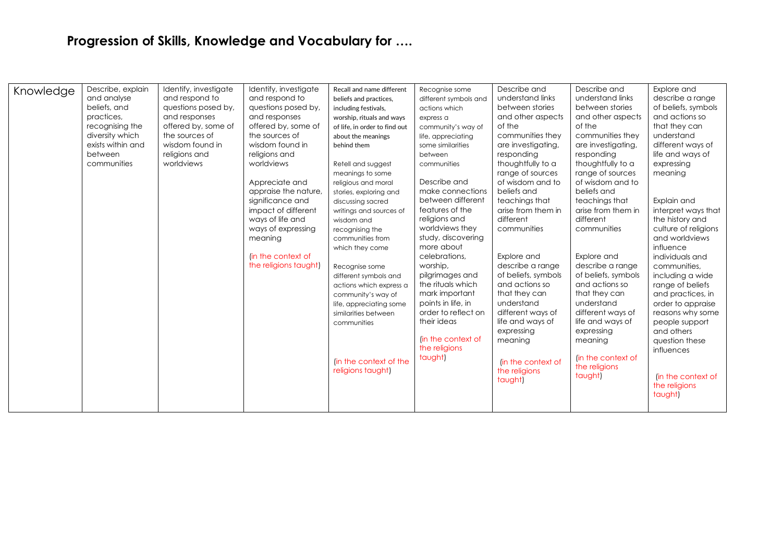## **Progression of Skills, Knowledge and Vocabulary for ….**

| Knowledge<br>beliefs, and<br>practices,<br>between | Identify, investigate<br>Describe, explain<br>and analyse<br>and respond to<br>questions posed by,<br>and responses<br>recognising the<br>offered by, some of<br>diversity which<br>the sources of<br>exists within and<br>wisdom found in<br>religions and<br>worldviews<br>communities | Identify, investigate<br>and respond to<br>questions posed by,<br>and responses<br>offered by, some of<br>the sources of<br>wisdom found in<br>religions and<br>worldviews<br>Appreciate and<br>appraise the nature,<br>significance and<br>impact of different<br>ways of life and<br>ways of expressing<br>meaning<br>(in the context of<br>the religions taught) | Recall and name different<br>beliefs and practices,<br>including festivals,<br>worship, rituals and ways<br>of life, in order to find out<br>about the meanings<br>behind them<br>Retell and suggest<br>meanings to some<br>religious and moral<br>stories, exploring and<br>discussing sacred<br>writings and sources of<br>wisdom and<br>recognising the<br>communities from<br>which they come<br>Recognise some<br>different symbols and<br>actions which express a<br>community's way of<br>life, appreciating some<br>similarities between<br>communities<br>(in the context of the<br>religions taught) | Recognise some<br>different symbols and<br>actions which<br>express a<br>community's way of<br>life, appreciating<br>some similarities<br>between<br>communities<br>Describe and<br>make connections<br>between different<br>features of the<br>religions and<br>worldviews they<br>study, discovering<br>more about<br>celebrations,<br>worship,<br>pilgrimages and<br>the rituals which<br>mark important<br>points in life, in<br>order to reflect on<br>their ideas<br>(in the context of<br>the religions<br>taught) | Describe and<br>understand links<br>between stories<br>and other aspects<br>of the<br>communities they<br>are investigating,<br>responding<br>thoughtfully to a<br>range of sources<br>of wisdom and to<br>beliefs and<br>teachings that<br>arise from them in<br>different<br>communities<br>Explore and<br>describe a range<br>of beliefs, symbols<br>and actions so<br>that they can<br>understand<br>different ways of<br>life and ways of<br>expressing<br>meaning<br>(in the context of<br>the religions<br>taught) | Describe and<br>understand links<br>between stories<br>and other aspects<br>of the<br>communities they<br>are investigating,<br>responding<br>thoughtfully to a<br>range of sources<br>of wisdom and to<br>beliefs and<br>teachings that<br>arise from them in<br>different<br>communities<br>Explore and<br>describe a range<br>of beliefs, symbols<br>and actions so<br>that they can<br>understand<br>different ways of<br>life and ways of<br>expressing<br>meaning<br>(in the context of<br>the religions<br>taught) | Explore and<br>describe a range<br>of beliefs, symbols<br>and actions so<br>that they can<br>understand<br>different ways of<br>life and ways of<br>expressing<br>meaning<br>Explain and<br>interpret ways that<br>the history and<br>culture of religions<br>and worldviews<br>influence<br>individuals and<br>communities,<br>including a wide<br>range of beliefs<br>and practices, in<br>order to appraise<br>reasons why some<br>people support<br>and others<br>question these<br>influences<br>(in the context of<br>the religions<br>taught) |
|----------------------------------------------------|------------------------------------------------------------------------------------------------------------------------------------------------------------------------------------------------------------------------------------------------------------------------------------------|---------------------------------------------------------------------------------------------------------------------------------------------------------------------------------------------------------------------------------------------------------------------------------------------------------------------------------------------------------------------|----------------------------------------------------------------------------------------------------------------------------------------------------------------------------------------------------------------------------------------------------------------------------------------------------------------------------------------------------------------------------------------------------------------------------------------------------------------------------------------------------------------------------------------------------------------------------------------------------------------|---------------------------------------------------------------------------------------------------------------------------------------------------------------------------------------------------------------------------------------------------------------------------------------------------------------------------------------------------------------------------------------------------------------------------------------------------------------------------------------------------------------------------|---------------------------------------------------------------------------------------------------------------------------------------------------------------------------------------------------------------------------------------------------------------------------------------------------------------------------------------------------------------------------------------------------------------------------------------------------------------------------------------------------------------------------|---------------------------------------------------------------------------------------------------------------------------------------------------------------------------------------------------------------------------------------------------------------------------------------------------------------------------------------------------------------------------------------------------------------------------------------------------------------------------------------------------------------------------|------------------------------------------------------------------------------------------------------------------------------------------------------------------------------------------------------------------------------------------------------------------------------------------------------------------------------------------------------------------------------------------------------------------------------------------------------------------------------------------------------------------------------------------------------|
|----------------------------------------------------|------------------------------------------------------------------------------------------------------------------------------------------------------------------------------------------------------------------------------------------------------------------------------------------|---------------------------------------------------------------------------------------------------------------------------------------------------------------------------------------------------------------------------------------------------------------------------------------------------------------------------------------------------------------------|----------------------------------------------------------------------------------------------------------------------------------------------------------------------------------------------------------------------------------------------------------------------------------------------------------------------------------------------------------------------------------------------------------------------------------------------------------------------------------------------------------------------------------------------------------------------------------------------------------------|---------------------------------------------------------------------------------------------------------------------------------------------------------------------------------------------------------------------------------------------------------------------------------------------------------------------------------------------------------------------------------------------------------------------------------------------------------------------------------------------------------------------------|---------------------------------------------------------------------------------------------------------------------------------------------------------------------------------------------------------------------------------------------------------------------------------------------------------------------------------------------------------------------------------------------------------------------------------------------------------------------------------------------------------------------------|---------------------------------------------------------------------------------------------------------------------------------------------------------------------------------------------------------------------------------------------------------------------------------------------------------------------------------------------------------------------------------------------------------------------------------------------------------------------------------------------------------------------------|------------------------------------------------------------------------------------------------------------------------------------------------------------------------------------------------------------------------------------------------------------------------------------------------------------------------------------------------------------------------------------------------------------------------------------------------------------------------------------------------------------------------------------------------------|